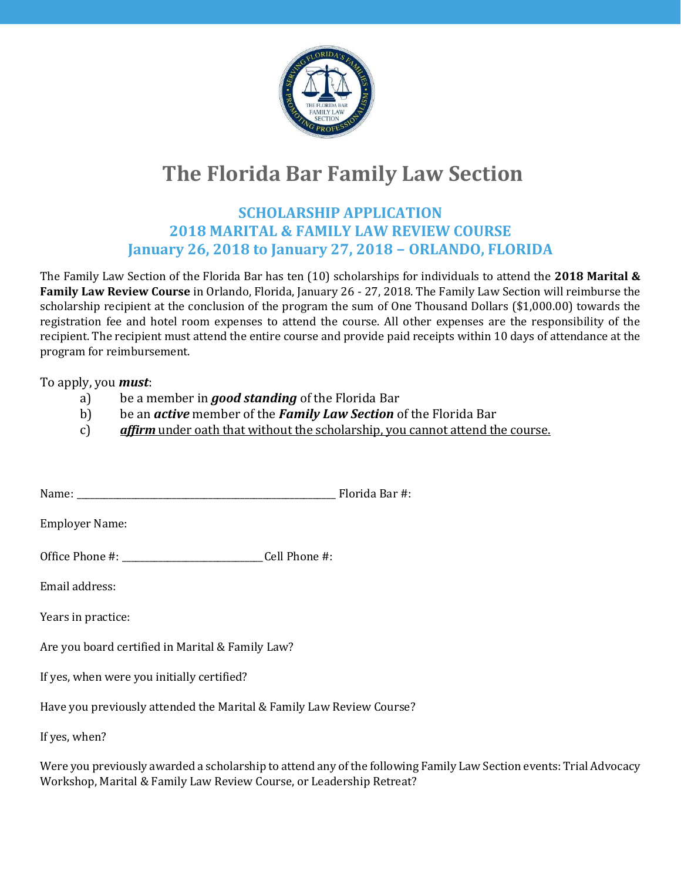

## **The Florida Bar Family Law Section**

## **SCHOLARSHIP APPLICATION 2018 MARITAL & FAMILY LAW REVIEW COURSE January 26, 2018 to January 27, 2018 – ORLANDO, FLORIDA**

The Family Law Section of the Florida Bar has ten (10) scholarships for individuals to attend the **2018 Marital & Family Law Review Course** in Orlando, Florida, January 26 - 27, 2018. The Family Law Section will reimburse the scholarship recipient at the conclusion of the program the sum of One Thousand Dollars (\$1,000.00) towards the registration fee and hotel room expenses to attend the course. All other expenses are the responsibility of the recipient. The recipient must attend the entire course and provide paid receipts within 10 days of attendance at the program for reimbursement.

## To apply, you *must*:

- a) be a member in *good standing* of the Florida Bar
- b) be an *active* member of the *Family Law Section* of the Florida Bar
- c) *affirm* under oath that without the scholarship, you cannot attend the course.

| Name: | _____<br>___ | $\Gamma$ <sub>2</sub> $\Gamma$ |
|-------|--------------|--------------------------------|
|       |              |                                |

Employer Name:

Office Phone #: \_\_\_\_\_\_\_\_\_\_\_\_\_\_\_\_\_\_\_\_\_\_\_\_\_\_\_\_\_\_\_Cell Phone #:

Email address:

Years in practice:

Are you board certified in Marital & Family Law?

If yes, when were you initially certified?

Have you previously attended the Marital & Family Law Review Course?

If yes, when?

Were you previously awarded a scholarship to attend any of the following Family Law Section events: Trial Advocacy Workshop, Marital & Family Law Review Course, or Leadership Retreat?